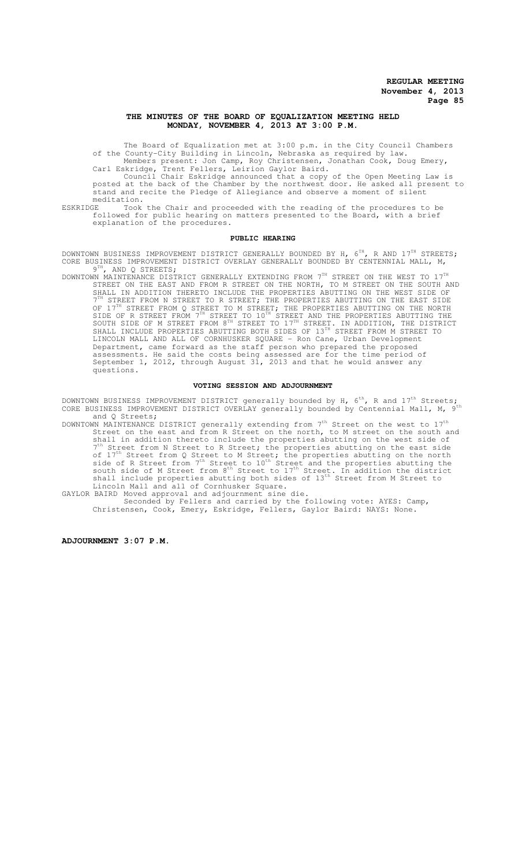#### **THE MINUTES OF THE BOARD OF EQUALIZATION MEETING HELD MONDAY, NOVEMBER 4, 2013 AT 3:00 P.M.**

The Board of Equalization met at 3:00 p.m. in the City Council Chambers of the County-City Building in Lincoln, Nebraska as required by law. Members present: Jon Camp, Roy Christensen, Jonathan Cook, Doug Emery,

Carl Eskridge, Trent Fellers, Leirion Gaylor Baird. Council Chair Eskridge announced that a copy of the Open Meeting Law is

posted at the back of the Chamber by the northwest door. He asked all present to stand and recite the Pledge of Allegiance and observe a moment of silent meditation.<br>ESKRIDGE Took

ESKRIDGE Took the Chair and proceeded with the reading of the procedures to be followed for public hearing on matters presented to the Board, with a brief explanation of the procedures.

#### **PUBLIC HEARING**

DOWNTOWN BUSINESS IMPROVEMENT DISTRICT GENERALLY BOUNDED BY H,  $6^\text{th}$ , R AND  $17^\text{th}$  STREETS; CORE BUSINESS IMPROVEMENT DISTRICT OVERLAY GENERALLY BOUNDED BY CENTENNIAL MALL, M, 9<sup>TH</sup>, AND Q STREETS;

DOWNTOWN MAINTENANCE DISTRICT GENERALLY EXTENDING FROM  $7^{TH}$  STREET ON THE WEST TO  $17^{T}$ STREET ON THE EAST AND FROM R STREET ON THE NORTH, TO M STREET ON THE SOUTH AND SHALL IN ADDITION THERETO INCLUDE THE PROPERTIES ABUTTING ON THE WEST SIDE OF  $7<sup>TH</sup>$  STREET FROM N STREET TO R STREET; THE PROPERTIES ABUTTING ON THE EAST SIDE OF 17<sup>TH</sup> STREET FROM Q STREET TO M STREET; THE PROPERTIES ABUTTING ON THE NORTH SIDE OF R STREET FROM 7<sup>TH</sup> STREET TO 10<sup>TH</sup> STREET AND THE PROPERTIES ABUTTING THE SOUTH SIDE OF M STREET FROM 8<sup>TH</sup> STREET TO 17<sup>TH</sup> STREET. IN ADDITION, THE DISTRICT SHALL INCLUDE PROPERTIES ABUTTING BOTH SIDES OF 13<sup>TH</sup> STREET FROM M STREET TO LINCOLN MALL AND ALL OF CORNHUSKER SQUARE - Ron Cane, Urban Development Department, came forward as the staff person who prepared the proposed assessments. He said the costs being assessed are for the time period of September 1, 2012, through August 31, 2013 and that he would answer any questions.

#### **VOTING SESSION AND ADJOURNMENT**

DOWNTOWN BUSINESS IMPROVEMENT DISTRICT generally bounded by H,  $6^{th}$ , R and  $17^{th}$  Streets; CORE BUSINESS IMPROVEMENT DISTRICT OVERLAY generally bounded by Centennial Mall, M, 9th and Q Streets;

- DOWNTOWN MAINTENANCE DISTRICT generally extending from  $7^{\text{th}}$  Street on the west to  $17^{\text{th}}$ Street on the east and from R Street on the north, to M street on the south and shall in addition thereto include the properties abutting on the west side of 7<sup>th</sup> Street from N Street to R Street; the properties abutting on the east side of  $17<sup>th</sup>$  Street from Q Street to M Street; the properties abutting on the north side of R Street from 7<sup>th</sup> Street to 10<sup>th</sup> Street and the properties abutting the south side of M Street from 8<sup>th</sup> Street to  $17<sup>th</sup>$  Street. In addition the district shall include properties abutting both sides of 13<sup>th</sup> Street from M Street to Lincoln Mall and all of Cornhusker Square.
- GAYLOR BAIRD Moved approval and adjournment sine die. Seconded by Fellers and carried by the following vote: AYES: Camp, Christensen, Cook, Emery, Eskridge, Fellers, Gaylor Baird: NAYS: None.

**ADJOURNMENT 3:07 P.M.**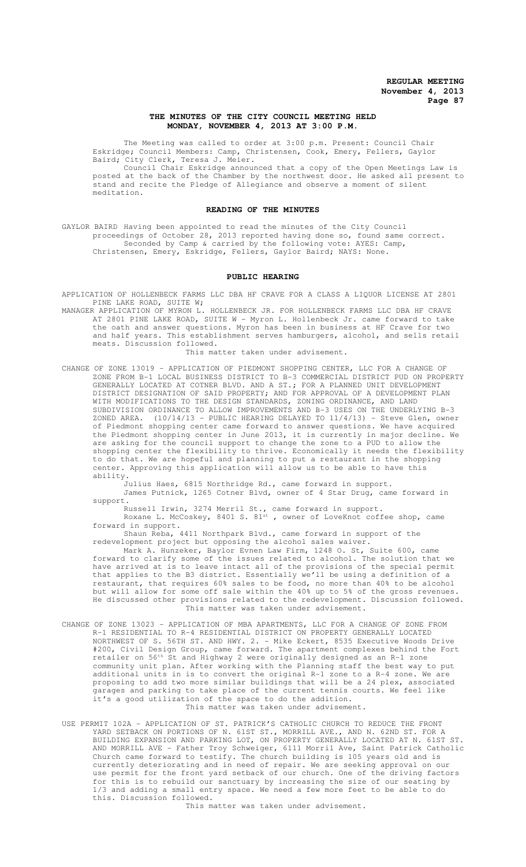# **THE MINUTES OF THE CITY COUNCIL MEETING HELD MONDAY, NOVEMBER 4, 2013 AT 3:00 P.M.**

The Meeting was called to order at 3:00 p.m. Present: Council Chair Eskridge; Council Members: Camp, Christensen, Cook, Emery, Fellers, Gaylor Baird; City Clerk, Teresa J. Meier.

Council Chair Eskridge announced that a copy of the Open Meetings Law is posted at the back of the Chamber by the northwest door. He asked all present to stand and recite the Pledge of Allegiance and observe a moment of silent meditation.

#### **READING OF THE MINUTES**

GAYLOR BAIRD Having been appointed to read the minutes of the City Council proceedings of October 28, 2013 reported having done so, found same correct. Seconded by Camp & carried by the following vote: AYES: Camp, Christensen, Emery, Eskridge, Fellers, Gaylor Baird; NAYS: None.

#### **PUBLIC HEARING**

APPLICATION OF HOLLENBECK FARMS LLC DBA HF CRAVE FOR A CLASS A LIQUOR LICENSE AT 2801 PINE LAKE ROAD, SUITE W;

MANAGER APPLICATION OF MYRON L. HOLLENBECK JR. FOR HOLLENBECK FARMS LLC DBA HF CRAVE AT 2801 PINE LAKE ROAD, SUITE W - Myron L. Hollenbeck Jr. came forward to take the oath and answer questions. Myron has been in business at HF Crave for two and half years. This establishment serves hamburgers, alcohol, and sells retail meats. Discussion followed. This matter taken under advisement.

CHANGE OF ZONE 13019 – APPLICATION OF PIEDMONT SHOPPING CENTER, LLC FOR A CHANGE OF ZONE FROM B-1 LOCAL BUSINESS DISTRICT TO B-3 COMMERCIAL DISTRICT PUD ON PROPERTY GENERALLY LOCATED AT COTNER BLVD. AND A ST.; FOR A PLANNED UNIT DEVELOPMENT DISTRICT DESIGNATION OF SAID PROPERTY; AND FOR APPROVAL OF A DEVELOPMENT PLAN WITH MODIFICATIONS TO THE DESIGN STANDARDS, ZONING ORDINANCE, AND LAND SUBDIVISION ORDINANCE TO ALLOW IMPROVEMENTS AND B-3 USES ON THE UNDERLYING B-3 ZONED AREA. (10/14/13 - PUBLIC HEARING DELAYED TO 11/4/13) - Steve Glen, owner of Piedmont shopping center came forward to answer questions. We have acquired the Piedmont shopping center in June 2013, it is currently in major decline. We are asking for the council support to change the zone to a PUD to allow the shopping center the flexibility to thrive. Economically it needs the flexibility to do that. We are hopeful and planning to put a restaurant in the shopping center. Approving this application will allow us to be able to have this ability.

Julius Haes, 6815 Northridge Rd., came forward in support. James Putnick, 1265 Cotner Blvd, owner of 4 Star Drug, came forward in support.

Russell Irwin, 3274 Merril St., came forward in support.

Roxane L. McCoskey, 8401 S. 81 $^{\text{st}}$  , owner of LoveKnot coffee shop, came forward in support.

Shaun Reba, 4411 Northpark Blvd., came forward in support of the redevelopment project but opposing the alcohol sales waiver.

Mark A. Hunzeker, Baylor Evnen Law Firm, 1248 O. St, Suite 600, came forward to clarify some of the issues related to alcohol. The solution that we have arrived at is to leave intact all of the provisions of the special permit that applies to the B3 district. Essentially we'll be using a definition of a restaurant, that requires 60% sales to be food, no more than 40% to be alcohol but will allow for some off sale within the 40% up to 5% of the gross revenues. He discussed other provisions related to the redevelopment. Discussion followed. This matter was taken under advisement.

- CHANGE OF ZONE 13023 APPLICATION OF MBA APARTMENTS, LLC FOR A CHANGE OF ZONE FROM R-1 RESIDENTIAL TO R-4 RESIDENTIAL DISTRICT ON PROPERTY GENERALLY LOCATED NORTHWEST OF S. 56TH ST. AND HWY. 2. - Mike Eckert, 8535 Executive Woods Drive #200, Civil Design Group, came forward. The apartment complexes behind the Fort retailer on  $56^{\text{th}}$  St and Highway 2 were originally designed as an R-1 zone community unit plan. After working with the Planning staff the best way to put additional units in is to convert the original R-1 zone to a R-4 zone. We are proposing to add two more similar buildings that will be a 24 plex, associated garages and parking to take place of the current tennis courts. We feel like it's a good utilization of the space to do the addition. This matter was taken under advisement.
- USE PERMIT 102A APPLICATION OF ST. PATRICK'S CATHOLIC CHURCH TO REDUCE THE FRONT YARD SETBACK ON PORTIONS OF N. 61ST ST., MORRILL AVE., AND N. 62ND ST. FOR A BUILDING EXPANSION AND PARKING LOT, ON PROPERTY GENERALLY LOCATED AT N. 61ST ST. AND MORRILL AVE - Father Troy Schweiger, 6111 Morril Ave, Saint Patrick Catholic Church came forward to testify. The church building is 105 years old and is currently deteriorating and in need of repair. We are seeking approval on our use permit for the front yard setback of our church. One of the driving factors for this is to rebuild our sanctuary by increasing the size of our seating by 1/3 and adding a small entry space. We need a few more feet to be able to do this. Discussion followed.

This matter was taken under advisement.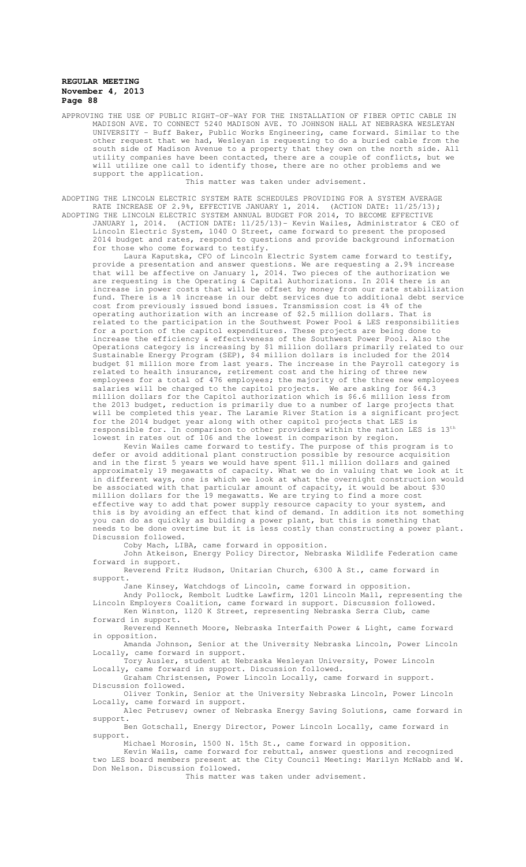APPROVING THE USE OF PUBLIC RIGHT-OF-WAY FOR THE INSTALLATION OF FIBER OPTIC CABLE IN MADISON AVE. TO CONNECT 5240 MADISON AVE. TO JOHNSON HALL AT NEBRASKA WESLEYAN UNIVERSITY - Buff Baker, Public Works Engineering, came forward. Similar to the other request that we had, Wesleyan is requesting to do a buried cable from the south side of Madison Avenue to a property that they own on the north side. All utility companies have been contacted, there are a couple of conflicts, but we will utilize one call to identify those, there are no other problems and we support the application.

This matter was taken under advisement.

ADOPTING THE LINCOLN ELECTRIC SYSTEM RATE SCHEDULES PROVIDING FOR A SYSTEM AVERAGE RATE INCREASE OF 2.9%, EFFECTIVE JANUARY 1, 2014. (ACTION DATE: 11/25/13); ADOPTING THE LINCOLN ELECTRIC SYSTEM ANNUAL BUDGET FOR 2014, TO BECOME EFFECTIVE

JANUARY 1, 2014. (ACTION DATE: 11/25/13)- Kevin Wailes, Administrator & CEO of Lincoln Electric System, 1040 O Street, came forward to present the proposed 2014 budget and rates, respond to questions and provide background information for those who come forward to testify.

Laura Kaputska, CFO of Lincoln Electric System came forward to testify, provide a presentation and answer questions. We are requesting a 2.9% increase that will be affective on January 1, 2014. Two pieces of the authorization we are requesting is the Operating & Capital Authorizations. In 2014 there is an increase in power costs that will be offset by money from our rate stabilization fund. There is a 1% increase in our debt services due to additional debt service cost from previously issued bond issues. Transmission cost is 4% of the operating authorization with an increase of \$2.5 million dollars. That is related to the participation in the Southwest Power Pool & LES responsibilities for a portion of the capitol expenditures. These projects are being done to increase the efficiency & effectiveness of the Southwest Power Pool. Also the Operations category is increasing by \$1 million dollars primarily related to our Sustainable Energy Program (SEP), \$4 million dollars is included for the 2014 budget \$1 million more from last years. The increase in the Payroll category is related to health insurance, retirement cost and the hiring of three new employees for a total of 476 employees; the majority of the three new employees salaries will be charged to the capitol projects. We are asking for \$64.3 million dollars for the Capitol authorization which is \$6.6 million less from the 2013 budget, reduction is primarily due to a number of large projects that will be completed this year. The Laramie River Station is a significant project for the 2014 budget year along with other capitol projects that LES is responsible for. In comparison to other providers within the nation LES is 13th lowest in rates out of 106 and the lowest in comparison by region.

Kevin Wailes came forward to testify. The purpose of this program is to defer or avoid additional plant construction possible by resource acquisition and in the first 5 years we would have spent \$11.1 million dollars and gained approximately 19 megawatts of capacity. What we do in valuing that we look at it in different ways, one is which we look at what the overnight construction would be associated with that particular amount of capacity, it would be about \$30 million dollars for the 19 megawatts. We are trying to find a more cost effective way to add that power supply resource capacity to your system, and this is by avoiding an effect that kind of demand. In addition its not something you can do as quickly as building a power plant, but this is something that needs to be done overtime but it is less costly than constructing a power plant. Discussion followed.

Coby Mach, LIBA, came forward in opposition.

John Atkeison, Energy Policy Director, Nebraska Wildlife Federation came forward in support.

Reverend Fritz Hudson, Unitarian Church, 6300 A St., came forward in support.

Jane Kinsey, Watchdogs of Lincoln, came forward in opposition.

Andy Pollock, Rembolt Ludtke Lawfirm, 1201 Lincoln Mall, representing the Lincoln Employers Coalition, came forward in support. Discussion followed. Ken Winston, 1120 K Street, representing Nebraska Serra Club, came

forward in support. Reverend Kenneth Moore, Nebraska Interfaith Power & Light, came forward in opposition.

Amanda Johnson, Senior at the University Nebraska Lincoln, Power Lincoln Locally, came forward in support.

Tory Ausler, student at Nebraska Wesleyan University, Power Lincoln Locally, came forward in support. Discussion followed.

Graham Christensen, Power Lincoln Locally, came forward in support. Discussion followed.

Oliver Tonkin, Senior at the University Nebraska Lincoln, Power Lincoln Locally, came forward in support.

Alec Petrusev; owner of Nebraska Energy Saving Solutions, came forward in support.

Ben Gotschall, Energy Director, Power Lincoln Locally, came forward in support.

Michael Morosin, 1500 N. 15th St., came forward in opposition.

Kevin Wails, came forward for rebuttal, answer questions and recognized two LES board members present at the City Council Meeting: Marilyn McNabb and W. Don Nelson. Discussion followed.

This matter was taken under advisement.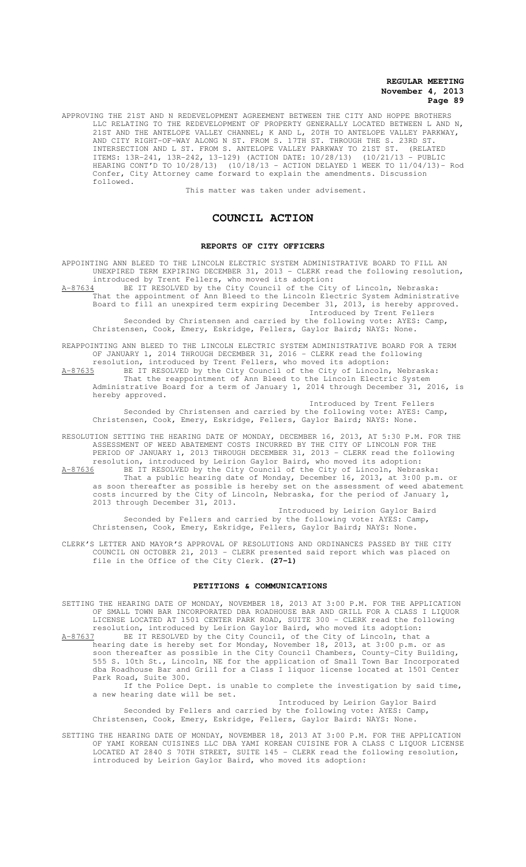APPROVING THE 21ST AND N REDEVELOPMENT AGREEMENT BETWEEN THE CITY AND HOPPE BROTHERS LLC RELATING TO THE REDEVELOPMENT OF PROPERTY GENERALLY LOCATED BETWEEN L AND N, 21ST AND THE ANTELOPE VALLEY CHANNEL; K AND L, 20TH TO ANTELOPE VALLEY PARKWAY, AND CITY RIGHT-OF-WAY ALONG N ST. FROM S. 17TH ST. THROUGH THE S. 23RD ST. INTERSECTION AND L ST. FROM S. ANTELOPE VALLEY PARKWAY TO 21ST ST. (RELATED ITEMS: 13R-241, 13R-242, 13-129) (ACTION DATE: 10/28/13) (10/21/13 - PUBLIC HEARING CONT'D TO 10/28/13) (10/18/13 - ACTION DELAYED 1 WEEK TO 11/04/13)- Rod Confer, City Attorney came forward to explain the amendments. Discussion followed.

This matter was taken under advisement.

# **COUNCIL ACTION**

#### **REPORTS OF CITY OFFICERS**

APPOINTING ANN BLEED TO THE LINCOLN ELECTRIC SYSTEM ADMINISTRATIVE BOARD TO FILL AN UNEXPIRED TERM EXPIRING DECEMBER 31, 2013 - CLERK read the following resolution, introduced by Trent Fellers, who moved its adoption:

A-87634 BE IT RESOLVED by the City Council of the City of Lincoln, Nebraska: That the appointment of Ann Bleed to the Lincoln Electric System Administrative Board to fill an unexpired term expiring December 31, 2013, is hereby approved. Introduced by Trent Fellers

Seconded by Christensen and carried by the following vote: AYES: Camp, Christensen, Cook, Emery, Eskridge, Fellers, Gaylor Baird; NAYS: None.

REAPPOINTING ANN BLEED TO THE LINCOLN ELECTRIC SYSTEM ADMINISTRATIVE BOARD FOR A TERM OF JANUARY 1, 2014 THROUGH DECEMBER 31, 2016 - CLERK read the following

resolution, introduced by Trent Fellers, who moved its adoption: A-87635 BE IT RESOLVED by the City Council of the City of Lincoln, Nebraska: That the reappointment of Ann Bleed to the Lincoln Electric System Administrative Board for a term of January 1, 2014 through December 31, 2016, is hereby approved.

Introduced by Trent Fellers Seconded by Christensen and carried by the following vote: AYES: Camp, Christensen, Cook, Emery, Eskridge, Fellers, Gaylor Baird; NAYS: None.

RESOLUTION SETTING THE HEARING DATE OF MONDAY, DECEMBER 16, 2013, AT 5:30 P.M. FOR THE ASSESSMENT OF WEED ABATEMENT COSTS INCURRED BY THE CITY OF LINCOLN FOR THE PERIOD OF JANUARY 1, 2013 THROUGH DECEMBER 31, 2013 - CLERK read the following resolution, introduced by Leirion Gaylor Baird, who moved its adoption: A-87636 BE IT RESOLVED by the City Council of the City of Lincoln, Nebraska: That a public hearing date of Monday, December 16, 2013, at 3:00 p.m. or as soon thereafter as possible is hereby set on the assessment of weed abatement costs incurred by the City of Lincoln, Nebraska, for the period of January 1,

Introduced by Leirion Gaylor Baird Seconded by Fellers and carried by the following vote: AYES: Camp, Christensen, Cook, Emery, Eskridge, Fellers, Gaylor Baird; NAYS: None.

CLERK'S LETTER AND MAYOR'S APPROVAL OF RESOLUTIONS AND ORDINANCES PASSED BY THE CITY COUNCIL ON OCTOBER 21, 2013 - CLERK presented said report which was placed on file in the Office of the City Clerk. **(27-1)**

2013 through December 31, 2013.

#### **PETITIONS & COMMUNICATIONS**

SETTING THE HEARING DATE OF MONDAY, NOVEMBER 18, 2013 AT 3:00 P.M. FOR THE APPLICATION OF SMALL TOWN BAR INCORPORATED DBA ROADHOUSE BAR AND GRILL FOR A CLASS I LIQUOR LICENSE LOCATED AT 1501 CENTER PARK ROAD, SUITE 300 - CLERK read the following resolution, introduced by Leirion Gaylor Baird, who moved its adoption: A-87637 BE IT RESOLVED by the City Council, of the City of Lincoln, that a hearing date is hereby set for Monday, November 18, 2013, at 3:00 p.m. or as soon thereafter as possible in the City Council Chambers, County-City Building, 555 S. 10th St., Lincoln, NE for the application of Small Town Bar Incorporated dba Roadhouse Bar and Grill for a Class I liquor license located at 1501 Center Park Road, Suite 300.

If the Police Dept. is unable to complete the investigation by said time, a new hearing date will be set.

Introduced by Leirion Gaylor Baird Seconded by Fellers and carried by the following vote: AYES: Camp, Christensen, Cook, Emery, Eskridge, Fellers, Gaylor Baird: NAYS: None.

SETTING THE HEARING DATE OF MONDAY, NOVEMBER 18, 2013 AT 3:00 P.M. FOR THE APPLICATION OF YAMI KOREAN CUISINES LLC DBA YAMI KOREAN CUISINE FOR A CLASS C LIQUOR LICENSE LOCATED AT 2840 S 70TH STREET, SUITE 145 - CLERK read the following resolution, introduced by Leirion Gaylor Baird, who moved its adoption: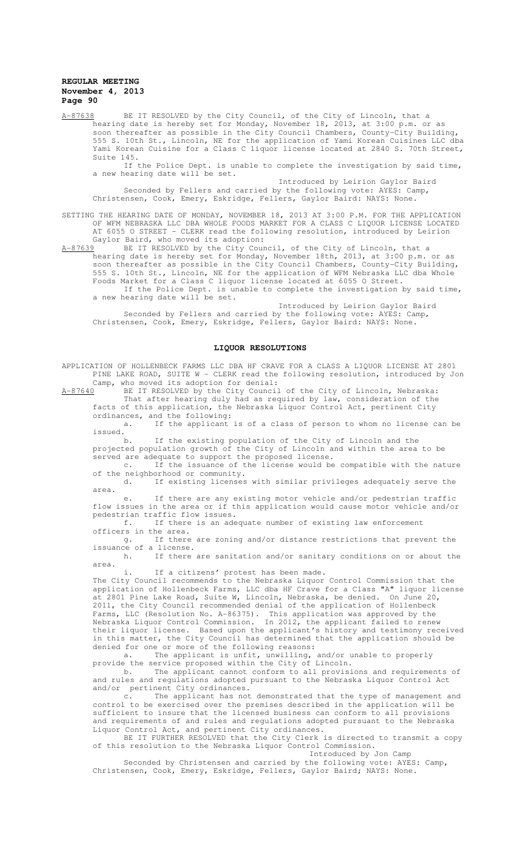A-87638 BE IT RESOLVED by the City Council, of the City of Lincoln, that a hearing date is hereby set for Monday, November 18, 2013, at 3:00 p.m. or as soon thereafter as possible in the City Council Chambers, County-City Building, 555 S. 10th St., Lincoln, NE for the application of Yami Korean Cuisines LLC dba Yami Korean Cuisine for a Class C liquor license located at 2840 S. 70th Street, Suite 145.

If the Police Dept. is unable to complete the investigation by said time, a new hearing date will be set.

Introduced by Leirion Gaylor Baird Seconded by Fellers and carried by the following vote: AYES: Camp, Christensen, Cook, Emery, Eskridge, Fellers, Gaylor Baird: NAYS: None.

SETTING THE HEARING DATE OF MONDAY, NOVEMBER 18, 2013 AT 3:00 P.M. FOR THE APPLICATION OF WFM NEBRASKA LLC DBA WHOLE FOODS MARKET FOR A CLASS C LIQUOR LICENSE LOCATED AT 6055 O STREET - CLERK read the following resolution, introduced by Leirion

Gaylor Baird, who moved its adoption:<br>A-87639 BE IT RESOLVED by the City Cour A-87639 BE IT RESOLVED by the City Council, of the City of Lincoln, that a hearing date is hereby set for Monday, November 18th, 2013, at 3:00 p.m. or as soon thereafter as possible in the City Council Chambers, County-City Building, 555 S. 10th St., Lincoln, NE for the application of WFM Nebraska LLC dba Whole Foods Market for a Class C liquor license located at 6055 O Street. If the Police Dept. is unable to complete the investigation by said time, a new hearing date will be set.

Introduced by Leirion Gaylor Baird Seconded by Fellers and carried by the following vote: AYES: Camp, Christensen, Cook, Emery, Eskridge, Fellers, Gaylor Baird: NAYS: None.

## **LIQUOR RESOLUTIONS**

APPLICATION OF HOLLENBECK FARMS LLC DBA HF CRAVE FOR A CLASS A LIQUOR LICENSE AT 2801 PINE LAKE ROAD, SUITE W - CLERK read the following resolution, introduced by Jon Camp, who moved its adoption for denial:<br>A-87640 BE IT RESOLVED by the City Council

A-876 Moved 100 dav<sub>F</sub> 111. 111 Senson.<br>BE IT RESOLVED by the City Council of the City of Lincoln, Nebraska: That after hearing duly had as required by law, consideration of the facts of this application, the Nebraska Liquor Control Act, pertinent City ordinances, and the following:

a. If the applicant is of a class of person to whom no license can be issued.<br>b.

If the existing population of the City of Lincoln and the projected population growth of the City of Lincoln and within the area to be served are adequate to support the proposed license.

c. If the issuance of the license would be compatible with the nature of the neighborhood or community.<br>d. If existing licenses

If existing licenses with similar privileges adequately serve the area.

e. If there are any existing motor vehicle and/or pedestrian traffic flow issues in the area or if this application would cause motor vehicle and/or pedestrian traffic flow issues.<br>f. If there is an ade

If there is an adequate number of existing law enforcement officers in the area.

g. If there are zoning and/or distance restrictions that prevent the issuance of a license.

h. If there are sanitation and/or sanitary conditions on or about the area.

i. If a citizens' protest has been made.

The City Council recommends to the Nebraska Liquor Control Commission that the application of Hollenbeck Farms, LLC dba HF Crave for a Class "A" liquor license at 2801 Pine Lake Road, Suite W, Lincoln, Nebraska, be denied. On June 20, at 2801 Pine Lake Road, Suite W, Lincoln, Nebraska, be denied. On June 20, 2011, the City Council recommended denial of the application of Hollenbeck Farms, LLC (Resolution No. A-86375). This application was approved by the Nebraska Liquor Control Commission. In 2012, the applicant failed to renew their liquor license. Based upon the applicant's history and testimony received in this matter, the City Council has determined that the application should be denied for one or more of the following reasons:

a. The applicant is unfit, unwilling, and/or unable to properly provide the service proposed within the City of Lincoln.

b. The applicant cannot conform to all provisions and requirements of and rules and regulations adopted pursuant to the Nebraska Liquor Control Act and/or pertinent City ordinances.<br>c. The applicant has not

The applicant has not demonstrated that the type of management and control to be exercised over the premises described in the application will be sufficient to insure that the licensed business can conform to all provisions and requirements of and rules and regulations adopted pursuant to the Nebraska Liquor Control Act, and pertinent City ordinances.

BE IT FURTHER RESOLVED that the City Clerk is directed to transmit a copy of this resolution to the Nebraska Liquor Control Commission. Introduced by Jon Camp

Seconded by Christensen and carried by the following vote: AYES: Camp, Christensen, Cook, Emery, Eskridge, Fellers, Gaylor Baird; NAYS: None.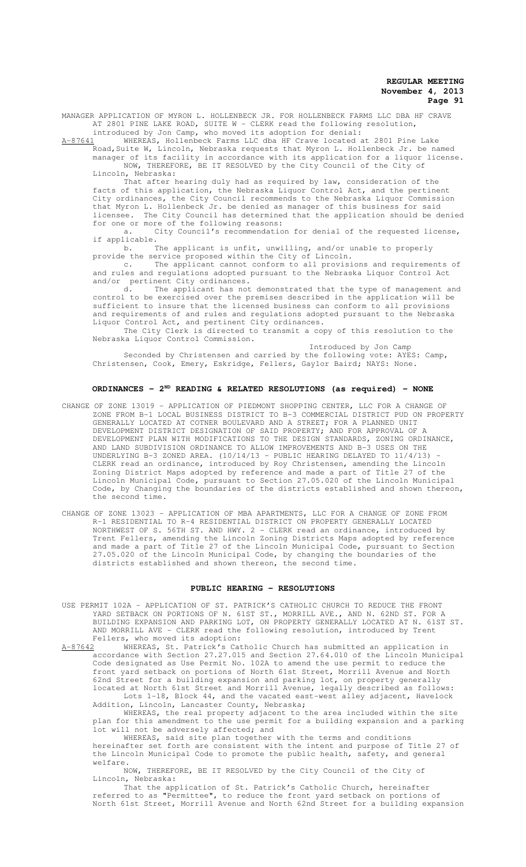MANAGER APPLICATION OF MYRON L. HOLLENBECK JR. FOR HOLLENBECK FARMS LLC DBA HF CRAVE AT 2801 PINE LAKE ROAD, SUITE W - CLERK read the following resolution,

introduced by Jon Camp, who moved its adoption for denial:<br>A-87641 WHEREAS, Hollenbeck Farms LLC dba HF Crave located WHEREAS, Hollenbeck Farms LLC dba HF Crave located at 2801 Pine Lake

Road, Suite W, Lincoln, Nebraska requests that Myron L. Hollenbeck Jr. be named manager of its facility in accordance with its application for a liquor license. NOW, THEREFORE, BE IT RESOLVED by the City Council of the City of Lincoln, Nebraska:

That after hearing duly had as required by law, consideration of the facts of this application, the Nebraska Liquor Control Act, and the pertinent City ordinances, the City Council recommends to the Nebraska Liquor Commission that Myron L. Hollenbeck Jr. be denied as manager of this business for said licensee. The City Council has determined that the application should be denied for one or more of the following reasons:

a. City Council's recommendation for denial of the requested license, if applicable.

b. The applicant is unfit, unwilling, and/or unable to properly provide the service proposed within the City of Lincoln.

c. The applicant cannot conform to all provisions and requirements of and rules and regulations adopted pursuant to the Nebraska Liquor Control Act and/or pertinent City ordinances.

d. The applicant has not demonstrated that the type of management and control to be exercised over the premises described in the application will be sufficient to insure that the licensed business can conform to all provisions and requirements of and rules and regulations adopted pursuant to the Nebraska Liquor Control Act, and pertinent City ordinances.

The City Clerk is directed to transmit a copy of this resolution to the Nebraska Liquor Control Commission.

Introduced by Jon Camp Seconded by Christensen and carried by the following vote: AYES: Camp, Christensen, Cook, Emery, Eskridge, Fellers, Gaylor Baird; NAYS: None.

# **ORDINANCES - 2ND READING & RELATED RESOLUTIONS (as required) - NONE**

- CHANGE OF ZONE 13019 APPLICATION OF PIEDMONT SHOPPING CENTER, LLC FOR A CHANGE OF ZONE FROM B-1 LOCAL BUSINESS DISTRICT TO B-3 COMMERCIAL DISTRICT PUD ON PROPERTY GENERALLY LOCATED AT COTNER BOULEVARD AND A STREET; FOR A PLANNED UNIT DEVELOPMENT DISTRICT DESIGNATION OF SAID PROPERTY; AND FOR APPROVAL OF A DEVELOPMENT PLAN WITH MODIFICATIONS TO THE DESIGN STANDARDS, ZONING ORDINANCE, AND LAND SUBDIVISION ORDINANCE TO ALLOW IMPROVEMENTS AND B-3 USES ON THE UNDERLYING B-3 ZONED AREA.  $(10/14/13$  - PUBLIC HEARING DELAYED TO  $11/4/13$ ) CLERK read an ordinance, introduced by Roy Christensen, amending the Lincoln Zoning District Maps adopted by reference and made a part of Title 27 of the Lincoln Municipal Code, pursuant to Section 27.05.020 of the Lincoln Municipal Code, by Changing the boundaries of the districts established and shown thereon, the second time.
- CHANGE OF ZONE 13023 APPLICATION OF MBA APARTMENTS, LLC FOR A CHANGE OF ZONE FROM R-1 RESIDENTIAL TO R-4 RESIDENTIAL DISTRICT ON PROPERTY GENERALLY LOCATED NORTHWEST OF S. 56TH ST. AND HWY. 2 - CLERK read an ordinance, introduced by Trent Fellers, amending the Lincoln Zoning Districts Maps adopted by reference and made a part of Title 27 of the Lincoln Municipal Code, pursuant to Section 27.05.020 of the Lincoln Municipal Code, by changing the boundaries of the districts established and shown thereon, the second time.

### **PUBLIC HEARING - RESOLUTIONS**

USE PERMIT 102A – APPLICATION OF ST. PATRICK'S CATHOLIC CHURCH TO REDUCE THE FRONT YARD SETBACK ON PORTIONS OF N. 61ST ST., MORRILL AVE., AND N. 62ND ST. FOR A BUILDING EXPANSION AND PARKING LOT, ON PROPERTY GENERALLY LOCATED AT N. 61ST ST. AND MORRILL AVE - CLERK read the following resolution, introduced by Trent

Fellers, who moved its adoption:<br>A-87642 WHEREAS, St. Patrick's Cat WHEREAS, St. Patrick's Catholic Church has submitted an application in accordance with Section 27.27.015 and Section 27.64.010 of the Lincoln Municipal Code designated as Use Permit No. 102A to amend the use permit to reduce the front yard setback on portions of North 61st Street, Morrill Avenue and North 62nd Street for a building expansion and parking lot, on property generally located at North 61st Street and Morrill Avenue, legally described as follows: Lots 1-18, Block 44, and the vacated east-west alley adjacent, Havelock Addition, Lincoln, Lancaster County, Nebraska;

WHEREAS, the real property adjacent to the area included within the site plan for this amendment to the use permit for a building expansion and a parking lot will not be adversely affected; and

WHEREAS, said site plan together with the terms and conditions hereinafter set forth are consistent with the intent and purpose of Title 27 of the Lincoln Municipal Code to promote the public health, safety, and general welfare.

NOW, THEREFORE, BE IT RESOLVED by the City Council of the City of Lincoln, Nebraska:

That the application of St. Patrick's Catholic Church, hereinafter referred to as "Permittee", to reduce the front yard setback on portions of North 61st Street, Morrill Avenue and North 62nd Street for a building expansion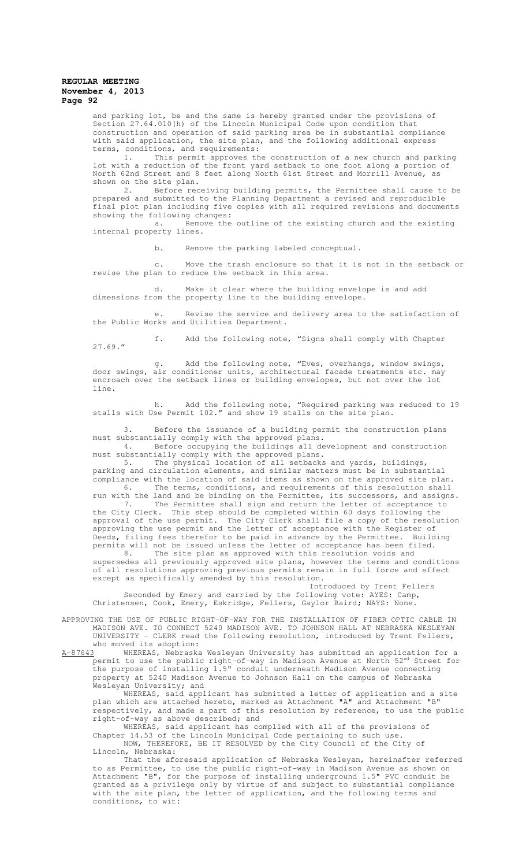and parking lot, be and the same is hereby granted under the provisions of Section 27.64.010(h) of the Lincoln Municipal Code upon condition that construction and operation of said parking area be in substantial compliance with said application, the site plan, and the following additional express terms, conditions, and requirements:

1. This permit approves the construction of a new church and parking lot with a reduction of the front yard setback to one foot along a portion of North 62nd Street and 8 feet along North 61st Street and Morrill Avenue, as shown on the site plan.

2. Before receiving building permits, the Permittee shall cause to be prepared and submitted to the Planning Department a revised and reproducible final plot plan including five copies with all required revisions and documents showing the following changes:

a. Remove the outline of the existing church and the existing internal property lines.

b. Remove the parking labeled conceptual.

c. Move the trash enclosure so that it is not in the setback or revise the plan to reduce the setback in this area.

d. Make it clear where the building envelope is and add dimensions from the property line to the building envelope.

e. Revise the service and delivery area to the satisfaction of the Public Works and Utilities Department.

f. Add the following note, "Signs shall comply with Chapter 27.69."

g. Add the following note, "Eves, overhangs, window swings, door swings, air conditioner units, architectural facade treatments etc. may encroach over the setback lines or building envelopes, but not over the lot line.

h. Add the following note, "Required parking was reduced to 19 stalls with Use Permit 102." and show 19 stalls on the site plan.

3. Before the issuance of a building permit the construction plans must substantially comply with the approved plans.

4. Before occupying the buildings all development and construction must substantially comply with the approved plans.

5. The physical location of all setbacks and yards, buildings, parking and circulation elements, and similar matters must be in substantial compliance with the location of said items as shown on the approved site plan. 6. The terms, conditions, and requirements of this resolution shall

run with the land and be binding on the Permittee, its successors, and assigns. 7. The Permittee shall sign and return the letter of acceptance to the City Clerk. This step should be completed within 60 days following the approval of the use permit. The City Clerk shall file a copy of the resolution approving the use permit and the letter of acceptance with the Register of Deeds, filing fees therefor to be paid in advance by the Permittee. Building permits will not be issued unless the letter of acceptance has been filed.

8. The site plan as approved with this resolution voids and supersedes all previously approved site plans, however the terms and conditions of all resolutions approving previous permits remain in full force and effect except as specifically amended by this resolution.

Introduced by Trent Fellers Seconded by Emery and carried by the following vote: AYES: Camp, Christensen, Cook, Emery, Eskridge, Fellers, Gaylor Baird; NAYS: None.

APPROVING THE USE OF PUBLIC RIGHT-OF-WAY FOR THE INSTALLATION OF FIBER OPTIC CABLE IN MADISON AVE. TO CONNECT 5240 MADISON AVE. TO JOHNSON HALL AT NEBRASKA WESLEYAN UNIVERSITY - CLERK read the following resolution, introduced by Trent Fellers, who moved its adoption:<br>A-87643 WHEREAS, Nebraska

WHEREAS, Nebraska Wesleyan University has submitted an application for a permit to use the public right-of-way in Madison Avenue at North  $52^{\text{nd}}$  Street for the purpose of installing 1.5" conduit underneath Madison Avenue connecting property at 5240 Madison Avenue to Johnson Hall on the campus of Nebraska Wesleyan University; and

WHEREAS, said applicant has submitted a letter of application and a site plan which are attached hereto, marked as Attachment "A" and Attachment "B" respectively, and made a part of this resolution by reference, to use the public right-of-way as above described; and

WHEREAS, said applicant has complied with all of the provisions of Chapter 14.53 of the Lincoln Municipal Code pertaining to such use. NOW, THEREFORE, BE IT RESOLVED by the City Council of the City of Lincoln, Nebraska:

That the aforesaid application of Nebraska Wesleyan, hereinafter referred to as Permittee, to use the public right-of-way in Madison Avenue as shown on Attachment "B", for the purpose of installing underground 1.5" PVC conduit be granted as a privilege only by virtue of and subject to substantial compliance with the site plan, the letter of application, and the following terms and conditions, to wit: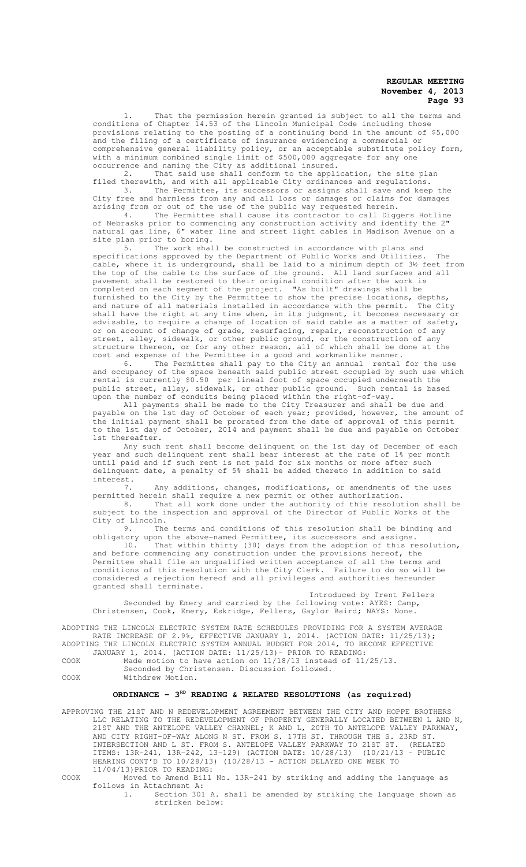1. That the permission herein granted is subject to all the terms and conditions of Chapter 14.53 of the Lincoln Municipal Code including those provisions relating to the posting of a continuing bond in the amount of \$5,000 and the filing of a certificate of insurance evidencing a commercial or comprehensive general liability policy, or an acceptable substitute policy form, with a minimum combined single limit of \$500,000 aggregate for any one occurrence and naming the City as additional insured.

2. That said use shall conform to the application, the site plan filed therewith, and with all applicable City ordinances and regulations. 3. The Permittee, its successors or assigns shall save and keep the City free and harmless from any and all loss or damages or claims for damages

arising from or out of the use of the public way requested herein. 4. The Permittee shall cause its contractor to call Diggers Hotline of Nebraska prior to commencing any construction activity and identify the 2" natural gas line, 6" water line and street light cables in Madison Avenue on a site plan prior to boring.

5. The work shall be constructed in accordance with plans and specifications approved by the Department of Public Works and Utilities. The cable, where it is underground, shall be laid to a minimum depth of 3½ feet from the top of the cable to the surface of the ground. All land surfaces and all pavement shall be restored to their original condition after the work is completed on each segment of the project. "As built" drawings shall be furnished to the City by the Permittee to show the precise locations, depths, and nature of all materials installed in accordance with the permit. The City shall have the right at any time when, in its judgment, it becomes necessary or advisable, to require a change of location of said cable as a matter of safety, or on account of change of grade, resurfacing, repair, reconstruction of any street, alley, sidewalk, or other public ground, or the construction of any structure thereon, or for any other reason, all of which shall be done at the cost and expense of the Permittee in a good and workmanlike manner.

6. The Permittee shall pay to the City an annual rental for the use and occupancy of the space beneath said public street occupied by such use which rental is currently \$0.50 per lineal foot of space occupied underneath the public street, alley, sidewalk, or other public ground. Such rental is based upon the number of conduits being placed within the right-of-way.

All payments shall be made to the City Treasurer and shall be due and payable on the 1st day of October of each year; provided, however, the amount of the initial payment shall be prorated from the date of approval of this permit to the 1st day of October, 2014 and payment shall be due and payable on October 1st thereafter.

Any such rent shall become delinquent on the 1st day of December of each year and such delinquent rent shall bear interest at the rate of 1% per month until paid and if such rent is not paid for six months or more after such delinquent date, a penalty of 5% shall be added thereto in addition to said interest.

7. Any additions, changes, modifications, or amendments of the uses permitted herein shall require a new permit or other authorization.

8. That all work done under the authority of this resolution shall be subject to the inspection and approval of the Director of Public Works of the City of Lincoln.<br>9. The

The terms and conditions of this resolution shall be binding and obligatory upon the above-named Permittee, its successors and assigns.

10. That within thirty (30) days from the adoption of this resolution, and before commencing any construction under the provisions hereof, the Permittee shall file an unqualified written acceptance of all the terms and conditions of this resolution with the City Clerk. Failure to do so will be considered a rejection hereof and all privileges and authorities hereunder granted shall terminate.

Introduced by Trent Fellers Seconded by Emery and carried by the following vote: AYES: Camp, Christensen, Cook, Emery, Eskridge, Fellers, Gaylor Baird; NAYS: None.

ADOPTING THE LINCOLN ELECTRIC SYSTEM RATE SCHEDULES PROVIDING FOR A SYSTEM AVERAGE RATE INCREASE OF 2.9%, EFFECTIVE JANUARY 1, 2014. (ACTION DATE: 11/25/13); ADOPTING THE LINCOLN ELECTRIC SYSTEM ANNUAL BUDGET FOR 2014, TO BECOME EFFECTIVE JANUARY 1, 2014. (ACTION DATE: 11/25/13)- PRIOR TO READING:

COOK Made motion to have action on 11/18/13 instead of 11/25/13. Seconded by Christensen. Discussion followed.

COOK Withdrew Motion.

# ORDINANCE - 3<sup>RD</sup> READING & RELATED RESOLUTIONS (as required)

APPROVING THE 21ST AND N REDEVELOPMENT AGREEMENT BETWEEN THE CITY AND HOPPE BROTHERS LLC RELATING TO THE REDEVELOPMENT OF PROPERTY GENERALLY LOCATED BETWEEN L AND N, 21ST AND THE ANTELOPE VALLEY CHANNEL; K AND L, 20TH TO ANTELOPE VALLEY PARKWAY, AND CITY RIGHT-OF-WAY ALONG N ST. FROM S. 17TH ST. THROUGH THE S. 23RD ST. INTERSECTION AND L ST. FROM S. ANTELOPE VALLEY PARKWAY TO 21ST ST. (RELATED ITEMS: 13R-241, 13R-242, 13-129) (ACTION DATE: 10/28/13) (10/21/13 - PUBLIC HEARING CONT'D TO 10/28/13) (10/28/13 - ACTION DELAYED ONE WEEK TO 11/04/13)PRIOR TO READING:

COOK Moved to Amend Bill No. 13R-241 by striking and adding the language as follows in Attachment A:

1. Section 301 A. shall be amended by striking the language shown as stricken below: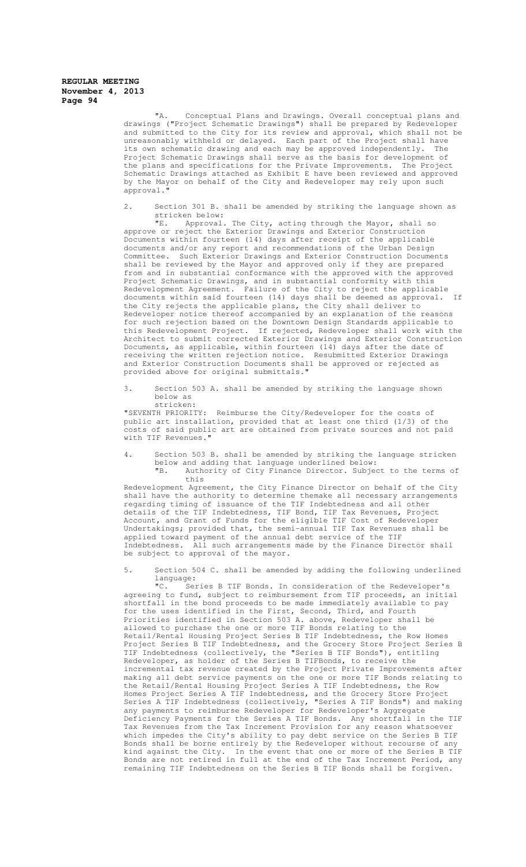"A. Conceptual Plans and Drawings. Overall conceptual plans and drawings ("Project Schematic Drawings") shall be prepared by Redeveloper and submitted to the City for its review and approval, which shall not be unreasonably withheld or delayed. Each part of the Project shall have its own schematic drawing and each may be approved independently. The Project Schematic Drawings shall serve as the basis for development of the plans and specifications for the Private Improvements. The Project Schematic Drawings attached as Exhibit E have been reviewed and approved by the Mayor on behalf of the City and Redeveloper may rely upon such approval.

2. Section 301 B. shall be amended by striking the language shown as stricken below:<br>"E. Approval.

E. Approval. The City, acting through the Mayor, shall so approve or reject the Exterior Drawings and Exterior Construction Documents within fourteen (14) days after receipt of the applicable documents and/or any report and recommendations of the Urban Design Committee. Such Exterior Drawings and Exterior Construction Documents shall be reviewed by the Mayor and approved only if they are prepared from and in substantial conformance with the approved with the approved Project Schematic Drawings, and in substantial conformity with this Redevelopment Agreement. Failure of the City to reject the applicable documents within said fourteen (14) days shall be deemed as approval. the City rejects the applicable plans, the City shall deliver Redeveloper notice thereof accompanied by an explanation of the reasons for such rejection based on the Downtown Design Standards applicable to this Redevelopment Project. If rejected, Redeveloper shall work with the Architect to submit corrected Exterior Drawings and Exterior Construction Documents, as applicable, within fourteen (14) days after the date of receiving the written rejection notice. Resubmitted Exterior Drawings and Exterior Construction Documents shall be approved or rejected as provided above for original submittals."

3. Section 503 A. shall be amended by striking the language shown below as stricken:

"SEVENTH PRIORITY: Reimburse the City/Redeveloper for the costs of public art installation, provided that at least one third (1/3) of the costs of said public art are obtained from private sources and not paid with TIF Revenues."

Section 503 B. shall be amended by striking the language stricken below and adding that language underlined below:<br>"B. Authority of City Finance Director. Subject Authority of City Finance Director. Subject to the terms of

this Redevelopment Agreement, the City Finance Director on behalf of the City shall have the authority to determine themake all necessary arrangements regarding timing of issuance of the TIF Indebtedness and all other details of the TIF Indebtedness, TIF Bond, TIF Tax Revenues, Project Account, and Grant of Funds for the eligible TIF Cost of Redeveloper Undertakings; provided that, the semi-annual TIF Tax Revenues shall be applied toward payment of the annual debt service of the TIF Indebtedness. All such arrangements made by the Finance Director shall be subject to approval of the mayor.

Section 504 C. shall be amended by adding the following underlined language:<br>"C. Ser

Series B TIF Bonds. In consideration of the Redeveloper's agreeing to fund, subject to reimbursement from TIF proceeds, an initial shortfall in the bond proceeds to be made immediately available to pay for the uses identified in the First, Second, Third, and Fourth Priorities identified in Section 503 A. above, Redeveloper shall be allowed to purchase the one or more TIF Bonds relating to the Retail/Rental Housing Project Series B TIF Indebtedness, the Row Homes Project Series B TIF Indebtedness, and the Grocery Store Project Series B TIF Indebtedness (collectively, the "Series B TIF Bonds"), entitling Redeveloper, as holder of the Series B TIFBonds, to receive the incremental tax revenue created by the Project Private Improvements after making all debt service payments on the one or more TIF Bonds relating to the Retail/Rental Housing Project Series A TIF Indebtedness, the Row Homes Project Series A TIF Indebtedness, and the Grocery Store Project Series A TIF Indebtedness (collectively, "Series A TIF Bonds") and making any payments to reimburse Redeveloper for Redeveloper's Aggregate Deficiency Payments for the Series A TIF Bonds. Any shortfall in the TIF Tax Revenues from the Tax Increment Provision for any reason whatsoever which impedes the City's ability to pay debt service on the Series B TIF Bonds shall be borne entirely by the Redeveloper without recourse of any kind against the City. In the event that one or more of the Series B TIF Bonds are not retired in full at the end of the Tax Increment Period, any remaining TIF Indebtedness on the Series B TIF Bonds shall be forgiven.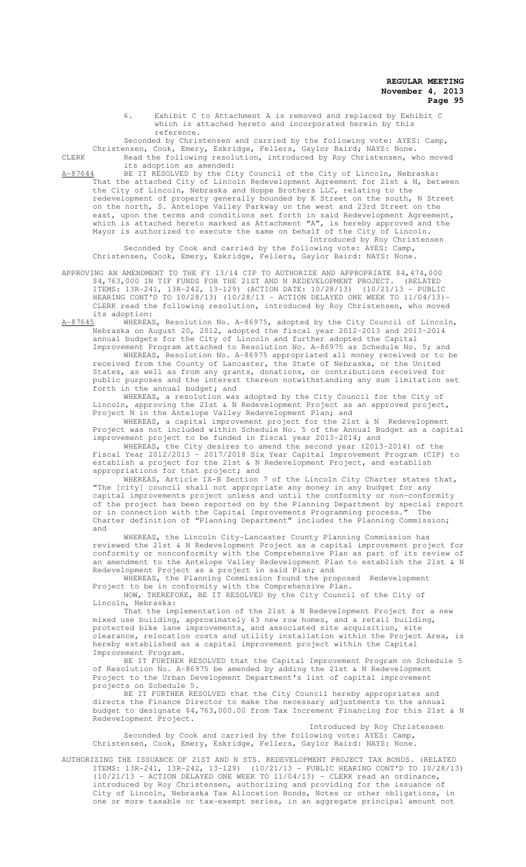6. Exhibit C to Attachment A is removed and replaced by Exhibit C which is attached hereto and incorporated herein by this reference.

Seconded by Christensen and carried by the following vote: AYES: Camp,

Christensen, Cook, Emery, Eskridge, Fellers, Gaylor Baird; NAYS: None. CLERK Read the following resolution, introduced by Roy Christensen, who moved its adoption as amended:

A-87644 BE IT RESOLVED by the City Council of the City of Lincoln, Nebraska: That the attached City of Lincoln Redevelopment Agreement for 21st & N, between the City of Lincoln, Nebraska and Hoppe Brothers LLC, relating to the redevelopment of property generally bounded by K Street on the south, N Street on the north, S. Antelope Valley Parkway on the west and 23rd Street on the east, upon the terms and conditions set forth in said Redevelopment Agreement, which is attached hereto marked as Attachment "A", is hereby approved and the Mayor is authorized to execute the same on behalf of the City of Lincoln. Introduced by Roy Christensen

Seconded by Cook and carried by the following vote: AYES: Camp, Christensen, Cook, Emery, Eskridge, Fellers, Gaylor Baird: NAYS: None.

APPROVING AN AMENDMENT TO THE FY 13/14 CIP TO AUTHORIZE AND APPROPRIATE \$4,474,000 \$4,763,000 IN TIF FUNDS FOR THE 21ST AND N REDEVELOPMENT PROJECT. (RELATED ITEMS: 13R-241, 13R-242, 13-129) (ACTION DATE: 10/28/13) (10/21/13 - PUBLIC HEARING CONT'D TO 10/28/13) (10/28/13 - ACTION DELAYED ONE WEEK TO 11/04/13)- CLERK read the following resolution, introduced by Roy Christensen, who moved its adoption:<br>A-87645 WHEREAS

whereas, Resolution No. A-86975, adopted by the City Council of Lincoln, Nebraska on August 20, 2012, adopted the fiscal year 2012-2013 and 2013-2014 annual budgets for the City of Lincoln and further adopted the Capital

Improvement Program attached to Resolution No. A-86975 as Schedule No. 5; and WHEREAS, Resolution No. A-86975 appropriated all money received or to be received from the County of Lancaster, the State of Nebraska, or the United States, as well as from any grants, donations, or contributions received for public purposes and the interest thereon notwithstanding any sum limitation set forth in the annual budget; and

WHEREAS, a resolution was adopted by the City Council for the City of Lincoln, approving the 21st & N Redevelopment Project as an approved project, Project N in the Antelope Valley Redevelopment Plan; and

WHEREAS, a capital improvement project for the 21st & N Redevelopment Project was not included within Schedule No. 5 of the Annual Budget as a capital improvement project to be funded in fiscal year 2013-2014; and

WHEREAS, the City desires to amend the second year (2013-2014) of the Fiscal Year 2012/2013 – 2017/2018 Six Year Capital Improvement Program (CIP) to establish a project for the 21st & N Redevelopment Project, and establish appropriations for that project; and

WHEREAS, Article IX-B Section 7 of the Lincoln City Charter states that, "The [city] council shall not appropriate any money in any budget for any capital improvements project unless and until the conformity or non-conformity of the project has been reported on by the Planning Department by special report or in connection with the Capital Improvements Programming process." The Charter definition of "Planning Department" includes the Planning Commission; and

WHEREAS, the Lincoln City-Lancaster County Planning Commission has reviewed the 21st & N Redevelopment Project as a capital improvement project for conformity or nonconformity with the Comprehensive Plan as part of its review of an amendment to the Antelope Valley Redevelopment Plan to establish the 21st & N Redevelopment Project as a project in said Plan; and WHEREAS, the Planning Commission found the proposed Redevelopment

Project to be in conformity with the Comprehensive Plan. NOW, THEREFORE, BE IT RESOLVED by the City Council of the City of

Lincoln, Nebraska: That the implementation of the 21st & N Redevelopment Project for a new mixed use building, approximately 63 new row homes, and a retail building, protected bike lane improvements, and associated site acquisition, site clearance, relocation costs and utility installation within the Project Area, is hereby established as a capital improvement project within the Capital Improvement Program.

BE IT FURTHER RESOLVED that the Capital Improvement Program on Schedule 5 of Resolution No. A-86975 be amended by adding the 21st & N Redevelopment Project to the Urban Development Department's list of capital improvement projects on Schedule 5.

BE IT FURTHER RESOLVED that the City Council hereby appropriates and directs the Finance Director to make the necessary adjustments to the annual budget to designate \$4,763,000.00 from Tax Increment Financing for this 21st & N Redevelopment Project.

Introduced by Roy Christensen Seconded by Cook and carried by the following vote: AYES: Camp, Christensen, Cook, Emery, Eskridge, Fellers, Gaylor Baird: NAYS: None.

AUTHORIZING THE ISSUANCE OF 21ST AND N STS. REDEVELOPMENT PROJECT TAX BONDS. (RELATED ITEMS: 13R-241, 13R-242, 13-129) (10/21/13 - PUBLIC HEARING CONT'D TO 10/28/13)  $(10/21/13$  - ACTION DELAYED ONE WEEK TO  $11/04/13$ ) - CLERK read an ordinance, introduced by Roy Christensen, authorizing and providing for the issuance of City of Lincoln, Nebraska Tax Allocation Bonds, Notes or other obligations, in one or more taxable or tax-exempt series, in an aggregate principal amount not